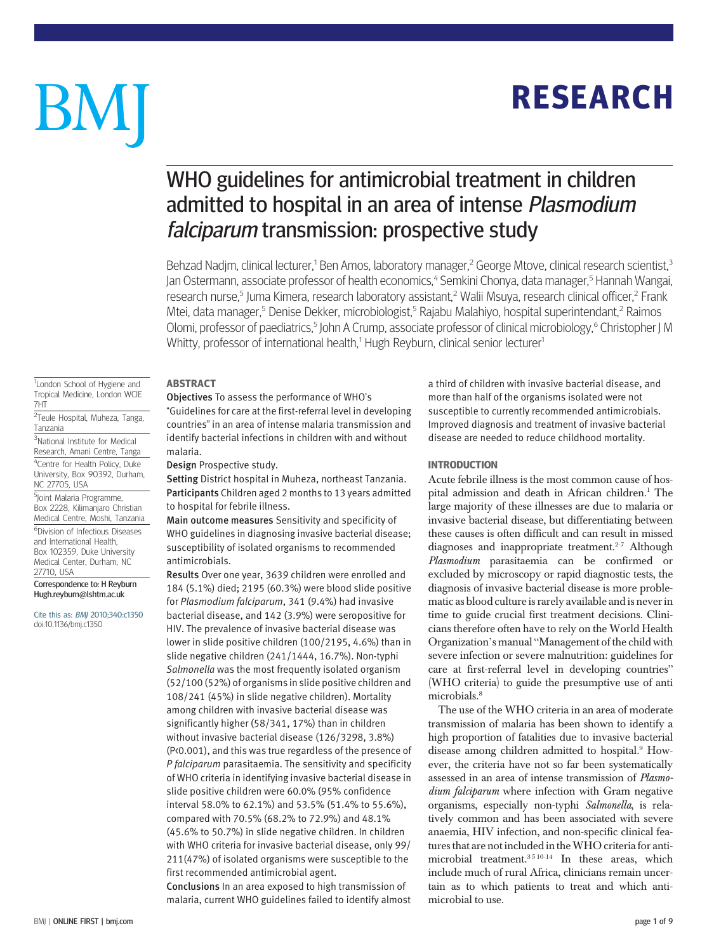# **RESEARCH** RESEARCH

# BM

## WHO guidelines for antimicrobial treatment in children admitted to hospital in an area of intense Plasmodium falciparum transmission: prospective study

Behzad Nadjm, clinical lecturer,<sup>1</sup> Ben Amos, laboratory manager,<sup>2</sup> George Mtove, clinical research scientist,<sup>3</sup> Jan Ostermann, associate professor of health economics,<sup>4</sup> Semkini Chonya, data manager,<sup>5</sup> Hannah Wangai, research nurse,<sup>5</sup> Juma Kimera, research laboratory assistant,<sup>2</sup> Walii Msuya, research clinical officer,<sup>2</sup> Frank Mtei, data manager,<sup>5</sup> Denise Dekker, microbiologist,<sup>5</sup> Rajabu Malahiyo, hospital superintendant,<sup>2</sup> Raimos Olomi, professor of paediatrics,<sup>5</sup> John A Crump, associate professor of clinical microbiology,<sup>6</sup> Christopher J M Whitty, professor of international health,<sup>1</sup> Hugh Reyburn, clinical senior lecturer<sup>1</sup>

#### <sup>1</sup>London School of Hygiene and Tropical Medicine, London WCIE 7HT

<sup>2</sup>Teule Hospital, Muheza, Tanga, Tanzania

3 National Institute for Medical Research, Amani Centre, Tanga 4 Centre for Health Policy, Duke University, Box 90392, Durham, NC 27705, USA

5 Joint Malaria Programme, Box 2228, Kilimanjaro Christian Medical Centre, Moshi, Tanzania 6 Division of Infectious Diseases and International Health, Box 102359, Duke University Medical Center, Durham, NC 27710, USA

#### Correspondence to: H Reyburn Hugh.reyburn@lshtm.ac.uk

Cite this as: BMJ 2010;340:c1350 doi:10.1136/bmj.c1350

## **ABSTRACT**

Objectives To assess the performance of WHO's "Guidelines for care at the first-referral level in developing

countries" in an area of intense malaria transmission and identify bacterial infections in children with and without malaria.

Design Prospective study.

Setting District hospital in Muheza, northeast Tanzania. Participants Children aged 2 months to 13 years admitted to hospital for febrile illness.

Main outcome measures Sensitivity and specificity of WHO guidelines in diagnosing invasive bacterial disease; susceptibility of isolated organisms to recommended antimicrobials.

Results Over one year, 3639 children were enrolled and 184 (5.1%) died; 2195 (60.3%) were blood slide positive for Plasmodium falciparum, 341 (9.4%) had invasive bacterial disease, and 142 (3.9%) were seropositive for HIV. The prevalence of invasive bacterial disease was lower in slide positive children (100/2195, 4.6%) than in slide negative children (241/1444, 16.7%). Non-typhi Salmonella was the most frequently isolated organism (52/100 (52%) of organisms in slide positive children and 108/241 (45%) in slide negative children). Mortality among children with invasive bacterial disease was significantly higher (58/341, 17%) than in children without invasive bacterial disease (126/3298, 3.8%) (P<0.001), and this was true regardless of the presence of P falciparum parasitaemia. The sensitivity and specificity of WHO criteria in identifying invasive bacterial disease in slide positive children were 60.0% (95% confidence interval 58.0% to 62.1%) and 53.5% (51.4% to 55.6%), compared with 70.5% (68.2% to 72.9%) and 48.1% (45.6% to 50.7%) in slide negative children. In children with WHO criteria for invasive bacterial disease, only 99/ 211(47%) of isolated organisms were susceptible to the first recommended antimicrobial agent.

Conclusions In an area exposed to high transmission of malaria, current WHO guidelines failed to identify almost a third of children with invasive bacterial disease, and more than half of the organisms isolated were not susceptible to currently recommended antimicrobials. Improved diagnosis and treatment of invasive bacterial disease are needed to reduce childhood mortality.

## **INTRODUCTION**

Acute febrile illness is the most common cause of hospital admission and death in African children.<sup>1</sup> The large majority of these illnesses are due to malaria or invasive bacterial disease, but differentiating between these causes is often difficult and can result in missed diagnoses and inappropriate treatment.<sup>2-7</sup> Although Plasmodium parasitaemia can be confirmed or excluded by microscopy or rapid diagnostic tests, the diagnosis of invasive bacterial disease is more problematic as blood culture is rarely available and is never in time to guide crucial first treatment decisions. Clinicians therefore often have to rely on the World Health Organization's manual "Management of the child with severe infection or severe malnutrition: guidelines for care at first-referral level in developing countries" (WHO criteria) to guide the presumptive use of anti microbials.<sup>8</sup>

The use of the WHO criteria in an area of moderate transmission of malaria has been shown to identify a high proportion of fatalities due to invasive bacterial disease among children admitted to hospital.<sup>9</sup> However, the criteria have not so far been systematically assessed in an area of intense transmission of Plasmodium falciparum where infection with Gram negative organisms, especially non-typhi Salmonella, is relatively common and has been associated with severe anaemia, HIV infection, and non-specific clinical features that are not included in theWHO criteria for antimicrobial treatment.3 5 10-14 In these areas, which include much of rural Africa, clinicians remain uncertain as to which patients to treat and which antimicrobial to use.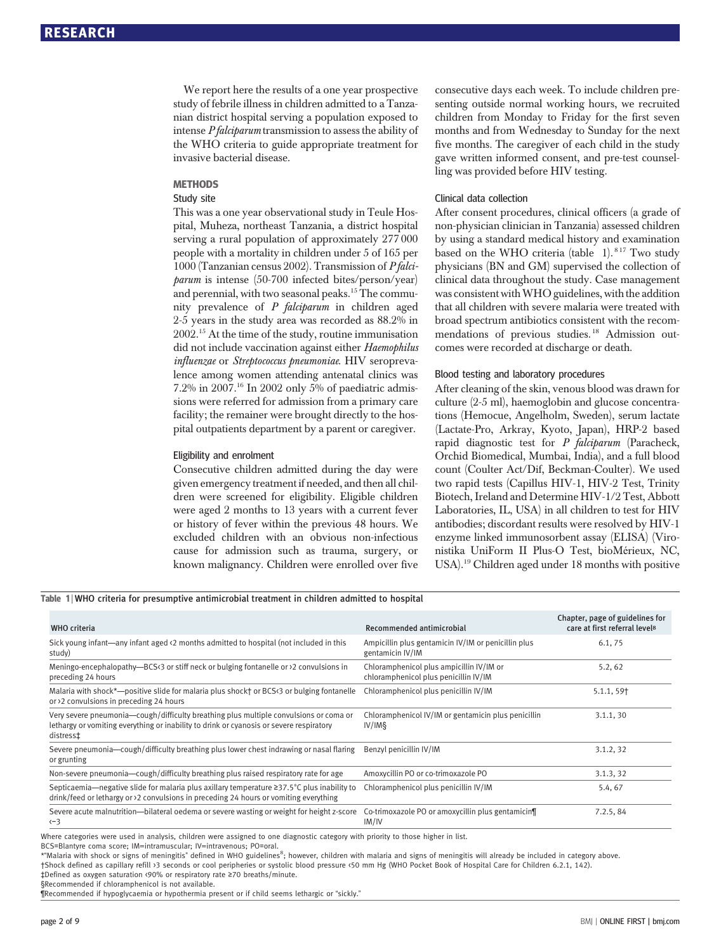We report here the results of a one year prospective study of febrile illness in children admitted to a Tanzanian district hospital serving a population exposed to intense P falciparum transmission to assess the ability of the WHO criteria to guide appropriate treatment for invasive bacterial disease.

## METHODS Study site

This was a one year observational study in Teule Hospital, Muheza, northeast Tanzania, a district hospital serving a rural population of approximately 277 000 people with a mortality in children under 5 of 165 per 1000 (Tanzanian census 2002). Transmission of P falciparum is intense (50-700 infected bites/person/year) and perennial, with two seasonal peaks.15 The community prevalence of P falciparum in children aged 2-5 years in the study area was recorded as 88.2% in 2002.15 At the time of the study, routine immunisation did not include vaccination against either Haemophilus influenzae or Streptococcus pneumoniae. HIV seroprevalence among women attending antenatal clinics was 7.2% in 2007.<sup>16</sup> In 2002 only 5% of paediatric admissions were referred for admission from a primary care facility; the remainer were brought directly to the hospital outpatients department by a parent or caregiver.

#### Eligibility and enrolment

Consecutive children admitted during the day were given emergency treatment if needed, and then all children were screened for eligibility. Eligible children were aged 2 months to 13 years with a current fever or history of fever within the previous 48 hours. We excluded children with an obvious non-infectious cause for admission such as trauma, surgery, or known malignancy. Children were enrolled over five consecutive days each week. To include children presenting outside normal working hours, we recruited children from Monday to Friday for the first seven months and from Wednesday to Sunday for the next five months. The caregiver of each child in the study gave written informed consent, and pre-test counselling was provided before HIV testing.

#### Clinical data collection

After consent procedures, clinical officers (a grade of non-physician clinician in Tanzania) assessed children by using a standard medical history and examination based on the WHO criteria (table 1).<sup>817</sup> Two study physicians (BN and GM) supervised the collection of clinical data throughout the study. Case management was consistent withWHO guidelines, with the addition that all children with severe malaria were treated with broad spectrum antibiotics consistent with the recommendations of previous studies. <sup>18</sup> Admission outcomes were recorded at discharge or death.

#### Blood testing and laboratory procedures

After cleaning of the skin, venous blood was drawn for culture (2-5 ml), haemoglobin and glucose concentrations (Hemocue, Angelholm, Sweden), serum lactate (Lactate-Pro, Arkray, Kyoto, Japan), HRP-2 based rapid diagnostic test for  $P$  falciparum (Paracheck, Orchid Biomedical, Mumbai, India), and a full blood count (Coulter Act/Dif, Beckman-Coulter). We used two rapid tests (Capillus HIV-1, HIV-2 Test, Trinity Biotech, Ireland and Determine HIV-1/2 Test, Abbott Laboratories, IL, USA) in all children to test for HIV antibodies; discordant results were resolved by HIV-1 enzyme linked immunosorbent assay (ELISA) (Vironistika UniForm II Plus-O Test, bioMérieux, NC, USA).19 Children aged under 18 months with positive

#### Table 1 | WHO criteria for presumptive antimicrobial treatment in children admitted to hospital

| <b>WHO</b> criteria                                                                                                                                                                           | Recommended antimicrobial                                                         | Chapter, page of guidelines for<br>care at first referral levels |
|-----------------------------------------------------------------------------------------------------------------------------------------------------------------------------------------------|-----------------------------------------------------------------------------------|------------------------------------------------------------------|
| Sick young infant—any infant aged <2 months admitted to hospital (not included in this<br>study)                                                                                              | Ampicillin plus gentamicin IV/IM or penicillin plus<br>gentamicin IV/IM           | 6.1, 75                                                          |
| Meningo-encephalopathy-BCS $(3)$ or stiff neck or bulging fontanelle or $(2)$ convulsions in<br>preceding 24 hours                                                                            | Chloramphenicol plus ampicillin IV/IM or<br>chloramphenicol plus penicillin IV/IM | 5.2, 62                                                          |
| Malaria with shock*—positive slide for malaria plus shock† or BCS<3 or bulging fontanelle<br>or >2 convulsions in preceding 24 hours                                                          | Chloramphenicol plus penicillin IV/IM                                             | $5.1.1, 59$ <sup>+</sup>                                         |
| Very severe pneumonia—cough/difficulty breathing plus multiple convulsions or coma or<br>lethargy or vomiting everything or inability to drink or cyanosis or severe respiratory<br>distress‡ | Chloramphenicol IV/IM or gentamicin plus penicillin<br>IV/IM§                     | 3.1.1, 30                                                        |
| Severe pneumonia—cough/difficulty breathing plus lower chest indrawing or nasal flaring<br>or grunting                                                                                        | Benzyl penicillin IV/IM                                                           | 3.1.2, 32                                                        |
| Non-severe pneumonia—cough/difficulty breathing plus raised respiratory rate for age                                                                                                          | Amoxycillin PO or co-trimoxazole PO                                               | 3.1.3, 32                                                        |
| Septicaemia—negative slide for malaria plus axillary temperature ≥37.5°C plus inability to<br>drink/feed or lethargy or >2 convulsions in preceding 24 hours or vomiting everything           | Chloramphenicol plus penicillin IV/IM                                             | 5.4, 67                                                          |
| Severe acute malnutrition—bilateral oedema or severe wasting or weight for height z-score<br>$\leftarrow$ 3                                                                                   | Co-trimoxazole PO or amoxycillin plus gentamicin¶<br>IM/IV                        | 7.2.5, 84                                                        |

Where categories were used in analysis, children were assigned to one diagnostic category with priority to those higher in list.

BCS=Blantyre coma score; IM=intramuscular; IV=intravenous; PO=oral.

\*"Malaria with shock or signs of meningitis" defined in WHO guidelines<sup>8</sup>; however, children with malaria and signs of meningitis will already be included in category above. †Shock defined as capillary refill >3 seconds or cool peripheries or systolic blood pressure <50 mm Hg (WHO Pocket Book of Hospital Care for Children 6.2.1, 142).

‡Defined as oxygen saturation <90% or respiratory rate ≥70 breaths/minute. §Recommended if chloramphenicol is not available.

¶Recommended if hypoglycaemia or hypothermia present or if child seems lethargic or "sickly."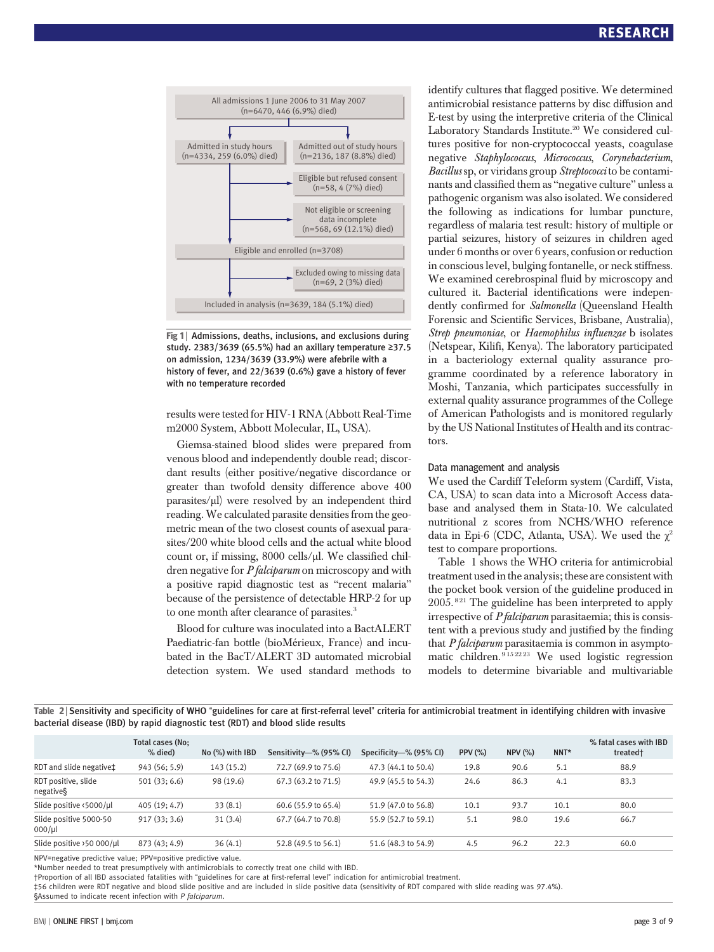

Fig 1 | Admissions, deaths, inclusions, and exclusions during study. 2383/3639 (65.5%) had an axillary temperature ≥37.5 on admission, 1234/3639 (33.9%) were afebrile with a history of fever, and 22/3639 (0.6%) gave a history of fever with no temperature recorded

results were tested for HIV-1 RNA (Abbott Real-Time m2000 System, Abbott Molecular, IL, USA).

Giemsa-stained blood slides were prepared from venous blood and independently double read; discordant results (either positive/negative discordance or greater than twofold density difference above 400 parasites/μl) were resolved by an independent third reading. We calculated parasite densities from the geometric mean of the two closest counts of asexual parasites/200 white blood cells and the actual white blood count or, if missing, 8000 cells/μl. We classified children negative for *P falciparum* on microscopy and with a positive rapid diagnostic test as "recent malaria" because of the persistence of detectable HRP-2 for up to one month after clearance of parasites.<sup>3</sup>

Blood for culture was inoculated into a BactALERT Paediatric-fan bottle (bioMérieux, France) and incubated in the BacT/ALERT 3D automated microbial detection system. We used standard methods to identify cultures that flagged positive. We determined antimicrobial resistance patterns by disc diffusion and E-test by using the interpretive criteria of the Clinical Laboratory Standards Institute.<sup>20</sup> We considered cultures positive for non-cryptococcal yeasts, coagulase negative Staphylococcus, Micrococcus, Corynebacterium, Bacillus sp, or viridans group Streptococci to be contaminants and classified them as "negative culture" unless a pathogenic organism was also isolated. We considered the following as indications for lumbar puncture, regardless of malaria test result: history of multiple or partial seizures, history of seizures in children aged under 6 months or over 6 years, confusion or reduction in conscious level, bulging fontanelle, or neck stiffness. We examined cerebrospinal fluid by microscopy and cultured it. Bacterial identifications were independently confirmed for Salmonella (Queensland Health Forensic and Scientific Services, Brisbane, Australia), Strep pneumoniae, or Haemophilus influenzae b isolates (Netspear, Kilifi, Kenya). The laboratory participated in a bacteriology external quality assurance programme coordinated by a reference laboratory in Moshi, Tanzania, which participates successfully in external quality assurance programmes of the College of American Pathologists and is monitored regularly by the US National Institutes of Health and its contractors.

#### Data management and analysis

We used the Cardiff Teleform system (Cardiff, Vista, CA, USA) to scan data into a Microsoft Access database and analysed them in Stata-10. We calculated nutritional z scores from NCHS/WHO reference data in Epi-6 (CDC, Atlanta, USA). We used the  $\chi^2$ test to compare proportions.

Table 1 shows the WHO criteria for antimicrobial treatment used in the analysis; these are consistent with the pocket book version of the guideline produced in  $2005.^{821}$  The guideline has been interpreted to apply irrespective of  $P$  falciparum parasitaemia; this is consistent with a previous study and justified by the finding that  $P$  *falciparum* parasitaemia is common in asymptomatic children.  $9^{152223}$  We used logistic regression models to determine bivariable and multivariable

Table 2 <sup>|</sup> Sensitivity and specificity of WHO "guidelines for care at first-referral level" criteria for antimicrobial treatment in identifying children with invasive bacterial disease (IBD) by rapid diagnostic test (RDT) and blood slide results

|                                       | Total cases (No: |                 |                        |                        |                |        |      | % fatal cases with IBD |
|---------------------------------------|------------------|-----------------|------------------------|------------------------|----------------|--------|------|------------------------|
|                                       | % died)          | No (%) with IBD | Sensitivity-% (95% CI) | Specificity-% (95% CI) | <b>PPV (%)</b> | NPV(%) | NNT* | treated†               |
| RDT and slide negative‡               | 943 (56; 5.9)    | 143 (15.2)      | 72.7 (69.9 to 75.6)    | 47.3 (44.1 to 50.4)    | 19.8           | 90.6   | 5.1  | 88.9                   |
| RDT positive, slide<br>negative§      | 501(33; 6.6)     | 98 (19.6)       | 67.3 (63.2 to 71.5)    | 49.9 (45.5 to 54.3)    | 24.6           | 86.3   | 4.1  | 83.3                   |
| Slide positive <5000/µl               | 405(19; 4.7)     | 33(8.1)         | 60.6 (55.9 to 65.4)    | 51.9 (47.0 to 56.8)    | 10.1           | 93.7   | 10.1 | 80.0                   |
| Slide positive 5000-50<br>$000/\mu l$ | 917(33; 3.6)     | 31(3.4)         | 67.7 (64.7 to 70.8)    | 55.9 (52.7 to 59.1)    | 5.1            | 98.0   | 19.6 | 66.7                   |
| Slide positive >50 000/µl             | 873 (43: 4.9)    | 36(4.1)         | 52.8 (49.5 to 56.1)    | 51.6 (48.3 to 54.9)    | 4.5            | 96.2   | 22.3 | 60.0                   |

NPV=negative predictive value; PPV=positive predictive value.

\*Number needed to treat presumptively with antimicrobials to correctly treat one child with IBD.

†Proportion of all IBD associated fatalities with "guidelines for care at first-referral level" indication for antimicrobial treatment.

‡56 children were RDT negative and blood slide positive and are included in slide positive data (sensitivity of RDT compared with slide reading was 97.4%).

§Assumed to indicate recent infection with P falciparum.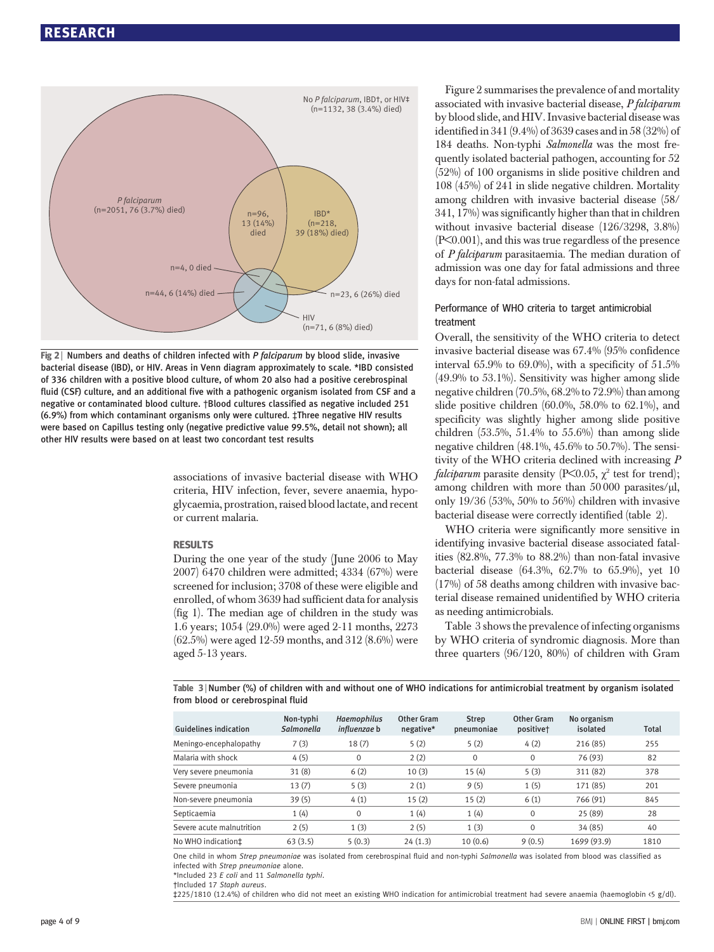

Fig  $2$  | Numbers and deaths of children infected with P falciparum by blood slide, invasive bacterial disease (IBD), or HIV. Areas in Venn diagram approximately to scale. \*IBD consisted of 336 children with a positive blood culture, of whom 20 also had a positive cerebrospinal fluid (CSF) culture, and an additional five with a pathogenic organism isolated from CSF and a negative or contaminated blood culture. †Blood cultures classified as negative included 251 (6.9%) from which contaminant organisms only were cultured. ‡Three negative HIV results were based on Capillus testing only (negative predictive value 99.5%, detail not shown); all other HIV results were based on at least two concordant test results

associations of invasive bacterial disease with WHO criteria, HIV infection, fever, severe anaemia, hypoglycaemia, prostration, raised blood lactate, and recent or current malaria.

#### **RESULTS**

During the one year of the study (June 2006 to May 2007) 6470 children were admitted; 4334 (67%) were screened for inclusion; 3708 of these were eligible and enrolled, of whom 3639 had sufficient data for analysis (fig 1). The median age of children in the study was 1.6 years; 1054 (29.0%) were aged 2-11 months, 2273 (62.5%) were aged 12-59 months, and 312 (8.6%) were aged 5-13 years.

Figure 2 summarises the prevalence of and mortality associated with invasive bacterial disease, P falciparum by blood slide, and HIV. Invasive bacterial disease was identified in 341 (9.4%) of 3639 cases and in 58 (32%) of 184 deaths. Non-typhi Salmonella was the most frequently isolated bacterial pathogen, accounting for 52 (52%) of 100 organisms in slide positive children and 108 (45%) of 241 in slide negative children. Mortality among children with invasive bacterial disease (58/ 341, 17%) was significantly higher than that in children without invasive bacterial disease (126/3298, 3.8%) (P<0.001), and this was true regardless of the presence of P falciparum parasitaemia. The median duration of admission was one day for fatal admissions and three days for non-fatal admissions.

## Performance of WHO criteria to target antimicrobial treatment

Overall, the sensitivity of the WHO criteria to detect invasive bacterial disease was 67.4% (95% confidence interval  $65.9\%$  to  $69.0\%$ ), with a specificity of  $51.5\%$ (49.9% to 53.1%). Sensitivity was higher among slide negative children (70.5%, 68.2% to 72.9%) than among slide positive children (60.0%, 58.0% to 62.1%), and specificity was slightly higher among slide positive children  $(53.5\%, 51.4\%$  to  $55.6\%)$  than among slide negative children (48.1%, 45.6% to 50.7%). The sensitivity of the WHO criteria declined with increasing P *falciparum* parasite density (P $\leq$ 0.05,  $\chi^2$  test for trend); among children with more than 50 000 parasites/μl, only 19/36 (53%, 50% to 56%) children with invasive bacterial disease were correctly identified (table 2).

WHO criteria were significantly more sensitive in identifying invasive bacterial disease associated fatalities (82.8%, 77.3% to 88.2%) than non-fatal invasive bacterial disease (64.3%, 62.7% to 65.9%), yet 10 (17%) of 58 deaths among children with invasive bacterial disease remained unidentified by WHO criteria as needing antimicrobials.

Table 3 shows the prevalence of infecting organisms by WHO criteria of syndromic diagnosis. More than three quarters (96/120, 80%) of children with Gram

Table 3 <sup>|</sup> Number (%) of children with and without one of WHO indications for antimicrobial treatment by organism isolated from blood or cerebrospinal fluid

| <b>Guidelines indication</b> | Non-typhi<br>Salmonella | <b>Haemophilus</b><br><i>influenzae</i> b | Other Gram<br>negative* | <b>Strep</b><br>pneumoniae | Other Gram<br>positive <sup>+</sup> | No organism<br>isolated | <b>Total</b> |
|------------------------------|-------------------------|-------------------------------------------|-------------------------|----------------------------|-------------------------------------|-------------------------|--------------|
| Meningo-encephalopathy       | 7(3)                    | 18(7)                                     | 5(2)                    | 5(2)                       | 4(2)                                | 216(85)                 | 255          |
| Malaria with shock           | 4(5)                    | 0                                         | 2(2)                    | $\mathbf{0}$               | 0                                   | 76 (93)                 | 82           |
| Very severe pneumonia        | 31(8)                   | 6(2)                                      | 10(3)                   | 15(4)                      | 5(3)                                | 311 (82)                | 378          |
| Severe pneumonia             | 13(7)                   | 5(3)                                      | 2(1)                    | 9(5)                       | 1(5)                                | 171 (85)                | 201          |
| Non-severe pneumonia         | 39(5)                   | 4(1)                                      | 15(2)                   | 15(2)                      | 6(1)                                | 766 (91)                | 845          |
| Septicaemia                  | 1(4)                    | $\mathbf 0$                               | 1(4)                    | 1(4)                       | $\Omega$                            | 25 (89)                 | 28           |
| Severe acute malnutrition    | 2(5)                    | 1(3)                                      | 2(5)                    | 1(3)                       | $\Omega$                            | 34 (85)                 | 40           |
| No WHO indication‡           | 63(3.5)                 | 5(0.3)                                    | 24(1.3)                 | 10(0.6)                    | 9(0.5)                              | 1699 (93.9)             | 1810         |

One child in whom Strep pneumoniae was isolated from cerebrospinal fluid and non-typhi Salmonella was isolated from blood was classified as infected with Strep pneumoniae alone.

\*Included 23 E coli and 11 Salmonella typhi.

†Included 17 Staph aureus.

‡225/1810 (12.4%) of children who did not meet an existing WHO indication for antimicrobial treatment had severe anaemia (haemoglobin <5 g/dl).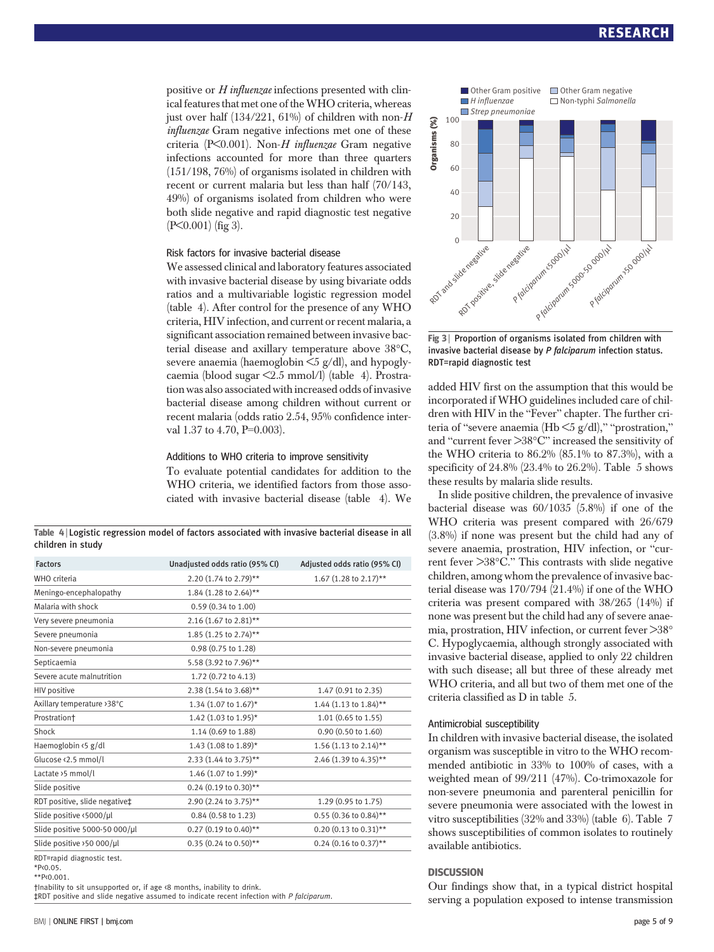positive or H influenzae infections presented with clinical features that met one of theWHO criteria, whereas just over half  $(134/221, 61\%)$  of children with non-H influenzae Gram negative infections met one of these criteria (P<0.001). Non-H influenzae Gram negative infections accounted for more than three quarters (151/198, 76%) of organisms isolated in children with recent or current malaria but less than half (70/143, 49%) of organisms isolated from children who were both slide negative and rapid diagnostic test negative (P<0.001) (fig 3).

#### Risk factors for invasive bacterial disease

We assessed clinical and laboratory features associated with invasive bacterial disease by using bivariate odds ratios and a multivariable logistic regression model (table 4). After control for the presence of any WHO criteria, HIV infection, and current or recent malaria, a significant association remained between invasive bacterial disease and axillary temperature above 38°C, severe anaemia (haemoglobin  $\leq$ 5 g/dl), and hypoglycaemia (blood sugar <2.5 mmol/l) (table 4). Prostration was also associated with increased odds of invasive bacterial disease among children without current or recent malaria (odds ratio 2.54, 95% confidence interval 1.37 to 4.70, P=0.003).

#### Additions to WHO criteria to improve sensitivity

To evaluate potential candidates for addition to the WHO criteria, we identified factors from those associated with invasive bacterial disease (table 4). We

Table 4 <sup>|</sup> Logistic regression model of factors associated with invasive bacterial disease in all children in study

| <b>Factors</b>                      | Unadjusted odds ratio (95% CI) | Adjusted odds ratio (95% CI) |
|-------------------------------------|--------------------------------|------------------------------|
| WHO criteria                        | 2.20 (1.74 to 2.79)**          | 1.67 (1.28 to 2.17)**        |
| Meningo-encephalopathy              | 1.84 (1.28 to 2.64)**          |                              |
| Malaria with shock                  | 0.59 (0.34 to 1.00)            |                              |
| Very severe pneumonia               | 2.16 (1.67 to 2.81)**          |                              |
| Severe pneumonia                    | 1.85 (1.25 to 2.74)**          |                              |
| Non-severe pneumonia                | 0.98 (0.75 to 1.28)            |                              |
| Septicaemia                         | 5.58 (3.92 to 7.96)**          |                              |
| Severe acute malnutrition           | 1.72 (0.72 to 4.13)            |                              |
| HIV positive                        | 2.38 (1.54 to 3.68)**          | 1.47 (0.91 to 2.35)          |
| Axillary temperature > 38°C         | 1.34 (1.07 to 1.67)*           | 1.44 (1.13 to 1.84)**        |
| Prostration†                        | 1.42 (1.03 to 1.95)*           | 1.01 (0.65 to 1.55)          |
| Shock                               | 1.14 (0.69 to 1.88)            | 0.90 (0.50 to 1.60)          |
| Haemoglobin <5 g/dl                 | 1.43 (1.08 to 1.89)*           | 1.56 (1.13 to 2.14)**        |
| Glucose <2.5 mmol/l                 | 2.33 (1.44 to 3.75)**          | 2.46 (1.39 to 4.35)**        |
| Lactate >5 mmol/l                   | 1.46 (1.07 to 1.99)*           |                              |
| Slide positive                      | 0.24 (0.19 to 0.30)**          |                              |
| RDT positive, slide negative‡       | 2.90 (2.24 to 3.75)**          | 1.29 (0.95 to 1.75)          |
| Slide positive <5000/µl             | 0.84 (0.58 to 1.23)            | $0.55$ (0.36 to 0.84)**      |
| Slide positive 5000-50 000/µl       | 0.27 (0.19 to 0.40)**          | $0.20$ (0.13 to 0.31)**      |
| Slide positive >50 000/µl           | $0.35$ (0.24 to 0.50)**        | $0.24$ (0.16 to 0.37)**      |
| $P(X,Y) = P(X,Y) + P(X,Y) + P(X,Y)$ |                                |                              |

RDT=rapid diagnostic test.  $*P(0.05)$ 

\*\*P<0.001.

†Inability to sit unsupported or, if age <8 months, inability to drink.

‡RDT positive and slide negative assumed to indicate recent infection with P falciparum.



Fig 3 | Proportion of organisms isolated from children with invasive bacterial disease by P falciparum infection status. RDT=rapid diagnostic test

added HIV first on the assumption that this would be incorporated if WHO guidelines included care of children with HIV in the "Fever" chapter. The further criteria of "severe anaemia (Hb  $\leq$ 5 g/dl)," "prostration," and "current fever >38°C" increased the sensitivity of the WHO criteria to 86.2% (85.1% to 87.3%), with a specificity of 24.8% (23.4% to 26.2%). Table 5 shows these results by malaria slide results.

In slide positive children, the prevalence of invasive bacterial disease was 60/1035 (5.8%) if one of the WHO criteria was present compared with 26/679 (3.8%) if none was present but the child had any of severe anaemia, prostration, HIV infection, or "current fever >38°C." This contrasts with slide negative children, among whom the prevalence of invasive bacterial disease was 170/794 (21.4%) if one of the WHO criteria was present compared with 38/265 (14%) if none was present but the child had any of severe anaemia, prostration, HIV infection, or current fever >38° C. Hypoglycaemia, although strongly associated with invasive bacterial disease, applied to only 22 children with such disease; all but three of these already met WHO criteria, and all but two of them met one of the criteria classified as D in table 5.

#### Antimicrobial susceptibility

In children with invasive bacterial disease, the isolated organism was susceptible in vitro to the WHO recommended antibiotic in 33% to 100% of cases, with a weighted mean of 99/211 (47%). Co-trimoxazole for non-severe pneumonia and parenteral penicillin for severe pneumonia were associated with the lowest in vitro susceptibilities (32% and 33%) (table 6). Table 7 shows susceptibilities of common isolates to routinely available antibiotics.

Our findings show that, in a typical district hospital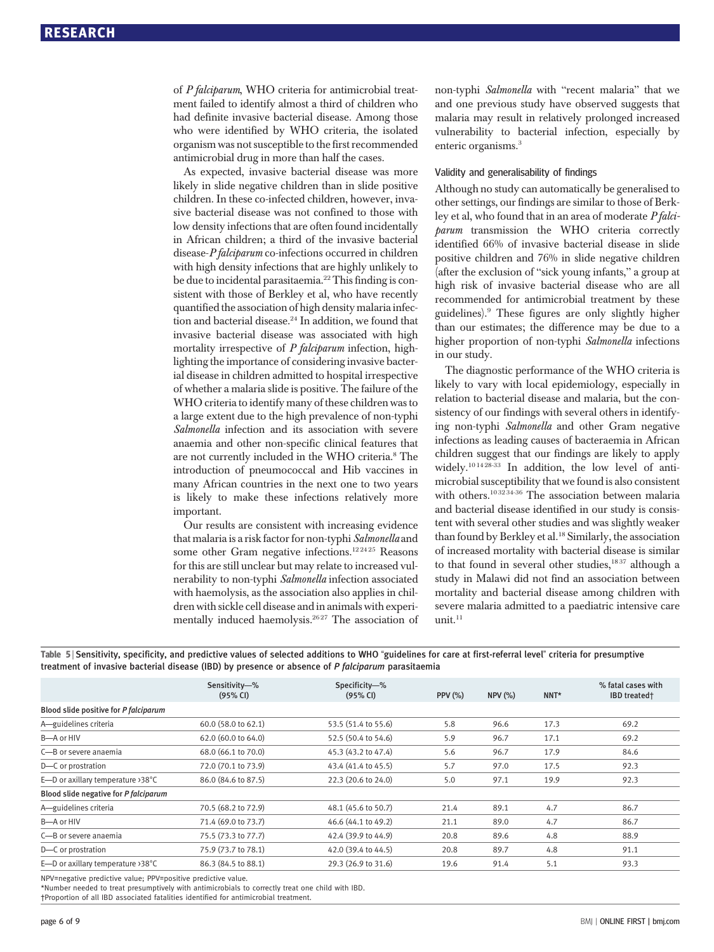of P falciparum, WHO criteria for antimicrobial treatment failed to identify almost a third of children who had definite invasive bacterial disease. Among those who were identified by WHO criteria, the isolated organism was not susceptible to the first recommended antimicrobial drug in more than half the cases.

As expected, invasive bacterial disease was more likely in slide negative children than in slide positive children. In these co-infected children, however, invasive bacterial disease was not confined to those with low density infections that are often found incidentally in African children; a third of the invasive bacterial disease-P falciparum co-infections occurred in children with high density infections that are highly unlikely to be due to incidental parasitaemia.<sup>22</sup> This finding is consistent with those of Berkley et al, who have recently quantified the association of high density malaria infection and bacterial disease.<sup>24</sup> In addition, we found that invasive bacterial disease was associated with high mortality irrespective of *P falciparum* infection, highlighting the importance of considering invasive bacterial disease in children admitted to hospital irrespective of whether a malaria slide is positive. The failure of the WHO criteria to identify many of these children was to a large extent due to the high prevalence of non-typhi Salmonella infection and its association with severe anaemia and other non-specific clinical features that are not currently included in the WHO criteria.<sup>8</sup> The introduction of pneumococcal and Hib vaccines in many African countries in the next one to two years is likely to make these infections relatively more important.

Our results are consistent with increasing evidence that malaria is a risk factor for non-typhi Salmonella and some other Gram negative infections.<sup>122425</sup> Reasons for this are still unclear but may relate to increased vulnerability to non-typhi Salmonella infection associated with haemolysis, as the association also applies in children with sickle cell disease and in animals with experimentally induced haemolysis.<sup>2627</sup> The association of non-typhi Salmonella with "recent malaria" that we and one previous study have observed suggests that malaria may result in relatively prolonged increased vulnerability to bacterial infection, especially by enteric organisms.<sup>3</sup>

#### Validity and generalisability of findings

Although no study can automatically be generalised to other settings, our findings are similar to those of Berkley et al, who found that in an area of moderate P falciparum transmission the WHO criteria correctly identified 66% of invasive bacterial disease in slide positive children and 76% in slide negative children (after the exclusion of "sick young infants," a group at high risk of invasive bacterial disease who are all recommended for antimicrobial treatment by these guidelines).<sup>9</sup> These figures are only slightly higher than our estimates; the difference may be due to a higher proportion of non-typhi Salmonella infections in our study.

The diagnostic performance of the WHO criteria is likely to vary with local epidemiology, especially in relation to bacterial disease and malaria, but the consistency of our findings with several others in identifying non-typhi Salmonella and other Gram negative infections as leading causes of bacteraemia in African children suggest that our findings are likely to apply widely.10 14 28-33 In addition, the low level of antimicrobial susceptibility that we found is also consistent with others.<sup>103234-36</sup> The association between malaria and bacterial disease identified in our study is consistent with several other studies and was slightly weaker than found by Berkley et al.<sup>18</sup> Similarly, the association of increased mortality with bacterial disease is similar to that found in several other studies, $1837$  although a study in Malawi did not find an association between mortality and bacterial disease among children with severe malaria admitted to a paediatric intensive care  $unit.<sup>11</sup>$ 

|                                       | Sensitivity-%<br>(95% CI) | Specificity-%<br>(95% CI) | <b>PPV (%)</b> | $NPV$ $(\%)$ | $NNT^*$ | % fatal cases with<br><b>IBD</b> treated† |
|---------------------------------------|---------------------------|---------------------------|----------------|--------------|---------|-------------------------------------------|
| Blood slide positive for P falciparum |                           |                           |                |              |         |                                           |
| A-guidelines criteria                 | 60.0 (58.0 to 62.1)       | 53.5 (51.4 to 55.6)       | 5.8            | 96.6         | 17.3    | 69.2                                      |
| B-A or HIV                            | 62.0 (60.0 to 64.0)       | 52.5 (50.4 to 54.6)       | 5.9            | 96.7         | 17.1    | 69.2                                      |
| C-B or severe anaemia                 | 68.0 (66.1 to 70.0)       | 45.3 (43.2 to 47.4)       | 5.6            | 96.7         | 17.9    | 84.6                                      |
| D-C or prostration                    | 72.0 (70.1 to 73.9)       | 43.4 (41.4 to 45.5)       | 5.7            | 97.0         | 17.5    | 92.3                                      |
| E-D or axillary temperature >38°C     | 86.0 (84.6 to 87.5)       | 22.3 (20.6 to 24.0)       | 5.0            | 97.1         | 19.9    | 92.3                                      |
| Blood slide negative for P falciparum |                           |                           |                |              |         |                                           |
| A-guidelines criteria                 | 70.5 (68.2 to 72.9)       | 48.1 (45.6 to 50.7)       | 21.4           | 89.1         | 4.7     | 86.7                                      |
| B-A or HIV                            | 71.4 (69.0 to 73.7)       | 46.6 (44.1 to 49.2)       | 21.1           | 89.0         | 4.7     | 86.7                                      |
| C—B or severe anaemia                 | 75.5 (73.3 to 77.7)       | 42.4 (39.9 to 44.9)       | 20.8           | 89.6         | 4.8     | 88.9                                      |
| D-C or prostration                    | 75.9 (73.7 to 78.1)       | 42.0 (39.4 to 44.5)       | 20.8           | 89.7         | 4.8     | 91.1                                      |
| E-D or axillary temperature >38°C     | 86.3 (84.5 to 88.1)       | 29.3 (26.9 to 31.6)       | 19.6           | 91.4         | 5.1     | 93.3                                      |

Table 5 | Sensitivity, specificity, and predictive values of selected additions to WHO "guidelines for care at first-referral level" criteria for presumptive treatment of invasive bacterial disease (IBD) by presence or absence of P falciparum parasitaemia

NPV=negative predictive value; PPV=positive predictive value.

\*Number needed to treat presumptively with antimicrobials to correctly treat one child with IBD.

†Proportion of all IBD associated fatalities identified for antimicrobial treatment.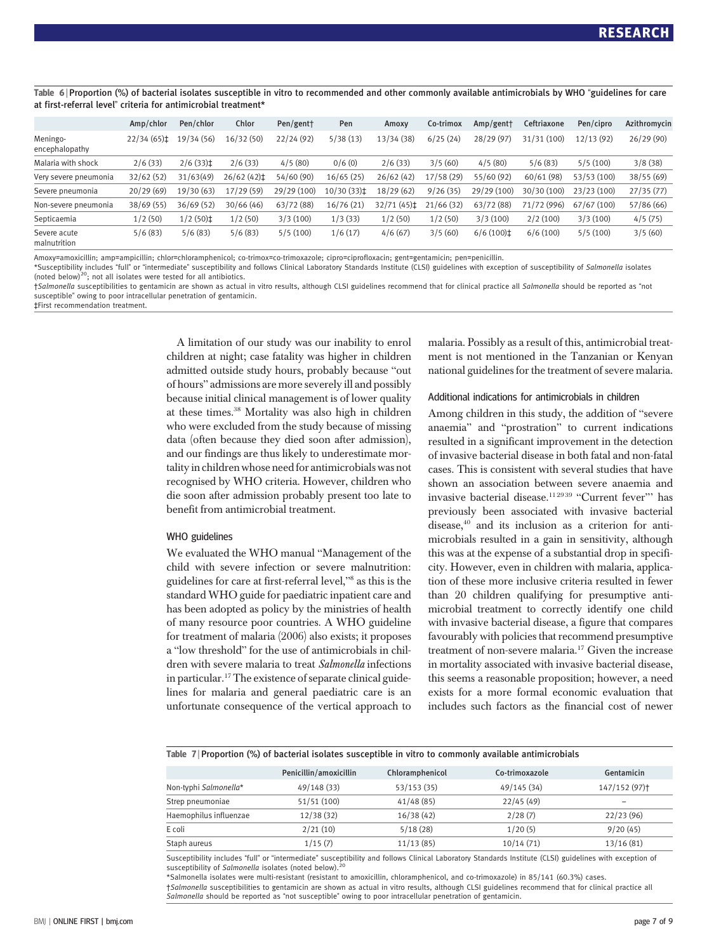Table 6 <sup>|</sup> Proportion (%) of bacterial isolates susceptible in vitro to recommended and other commonly available antimicrobials by WHO "guidelines for care at first-referral level" criteria for antimicrobial treatment\*

|                              | Amp/chlor                | Pen/chlor              | Chlor      | Pen/gent+   | Pen                   | Amoxy      | Co-trimox  | Amp/gent                | Ceftriaxone | Pen/cipro   | Azithromycin |
|------------------------------|--------------------------|------------------------|------------|-------------|-----------------------|------------|------------|-------------------------|-------------|-------------|--------------|
| Meningo-<br>encephalopathy   | $22/34(65)$ <sup>±</sup> | 19/34 (56)             | 16/32 (50) | 22/24(92)   | 5/38(13)              | 13/34 (38) | 6/25(24)   | 28/29 (97)              | 31/31 (100) | 12/13 (92)  | 26/29(90)    |
| Malaria with shock           | 2/6(33)                  | $2/6(33)$ <sup>±</sup> | 2/6(33)    | 4/5(80)     | 0/6(0)                | 2/6(33)    | 3/5(60)    | 4/5(80)                 | 5/6(83)     | 5/5(100)    | 3/8(38)      |
| Very severe pneumonia        | 32/62(52)                | 31/63(49)              | 26/62(42)  | 54/60 (90)  | 16/65 (25)            | 26/62(42)  | 17/58 (29) | 55/60 (92)              | 60/61(98)   | 53/53 (100) | 38/55(69)    |
| Severe pneumonia             | 20/29(69)                | 19/30 (63)             | 17/29(59)  | 29/29 (100) | 10/30 (33) $\ddagger$ | 18/29 (62) | 9/26(35)   | 29/29 (100)             | 30/30 (100) | 23/23 (100) | 27/35(77)    |
| Non-severe pneumonia         | 38/69(55)                | 36/69 (52)             | 30/66 (46) | 63/72 (88)  | 16/76(21)             | 32/71(45)  | 21/66(32)  | 63/72 (88)              | 71/72 (996) | 67/67 (100) | 57/86 (66)   |
| Septicaemia                  | 1/2(50)                  | $1/2(50)$ <sup>±</sup> | 1/2(50)    | 3/3(100)    | 1/3(33)               | 1/2(50)    | 1/2(50)    | 3/3(100)                | 2/2(100)    | 3/3(100)    | 4/5(75)      |
| Severe acute<br>malnutrition | 5/6(83)                  | 5/6(83)                | 5/6(83)    | 5/5(100)    | 1/6(17)               | 4/6(67)    | 3/5(60)    | $6/6(100)$ <sup>±</sup> | 6/6(100)    | 5/5(100)    | 3/5(60)      |

Amoxy=amoxicillin; amp=ampicillin; chlor=chloramphenicol; co-trimox=co-trimoxazole; cipro=ciprofloxacin; gent=gentamicin; pen=penicillin.

\*Susceptibility includes "full" or "intermediate" susceptibility and follows Clinical Laboratory Standards Institute (CLSI) guidelines with exception of susceptibility of Salmonella isolates (noted below) $^{20}$ ; not all isolates were tested for all antibiotics.

†Salmonella susceptibilities to gentamicin are shown as actual in vitro results, although CLSI guidelines recommend that for clinical practice all Salmonella should be reported as "not susceptible" owing to poor intracellular penetration of gentamicin. ‡First recommendation treatment.

> A limitation of our study was our inability to enrol children at night; case fatality was higher in children admitted outside study hours, probably because "out of hours" admissions are more severely ill and possibly because initial clinical management is of lower quality at these times.38 Mortality was also high in children who were excluded from the study because of missing data (often because they died soon after admission), and our findings are thus likely to underestimate mortality in children whose need for antimicrobials was not recognised by WHO criteria. However, children who die soon after admission probably present too late to benefit from antimicrobial treatment.

#### WHO guidelines

We evaluated the WHO manual "Management of the child with severe infection or severe malnutrition: guidelines for care at first-referral level,"<sup>8</sup> as this is the standard WHO guide for paediatric inpatient care and has been adopted as policy by the ministries of health of many resource poor countries. A WHO guideline for treatment of malaria (2006) also exists; it proposes a "low threshold" for the use of antimicrobials in children with severe malaria to treat Salmonella infections in particular.17The existence of separate clinical guidelines for malaria and general paediatric care is an unfortunate consequence of the vertical approach to malaria. Possibly as a result of this, antimicrobial treatment is not mentioned in the Tanzanian or Kenyan national guidelines for the treatment of severe malaria.

#### Additional indications for antimicrobials in children

Among children in this study, the addition of "severe anaemia" and "prostration" to current indications resulted in a significant improvement in the detection of invasive bacterial disease in both fatal and non-fatal cases. This is consistent with several studies that have shown an association between severe anaemia and invasive bacterial disease.<sup>112939</sup> "Current fever"' has previously been associated with invasive bacterial disease,40 and its inclusion as a criterion for antimicrobials resulted in a gain in sensitivity, although this was at the expense of a substantial drop in specificity. However, even in children with malaria, application of these more inclusive criteria resulted in fewer than 20 children qualifying for presumptive antimicrobial treatment to correctly identify one child with invasive bacterial disease, a figure that compares favourably with policies that recommend presumptive treatment of non-severe malaria.17 Given the increase in mortality associated with invasive bacterial disease, this seems a reasonable proposition; however, a need exists for a more formal economic evaluation that includes such factors as the financial cost of newer

|  |  |  |  |  | Table 7   Proportion (%) of bacterial isolates susceptible in vitro to commonly available antimicrobials |
|--|--|--|--|--|----------------------------------------------------------------------------------------------------------|
|  |  |  |  |  |                                                                                                          |

|                        | Penicillin/amoxicillin | Chloramphenicol | Co-trimoxazole | Gentamicin                |
|------------------------|------------------------|-----------------|----------------|---------------------------|
| Non-typhi Salmonella*  | 49/148 (33)            | 53/153 (35)     | 49/145 (34)    | 147/152 (97) <sup>+</sup> |
| Strep pneumoniae       | 51/51(100)             | 41/48(85)       | 22/45(49)      | $\overline{\phantom{a}}$  |
| Haemophilus influenzae | 12/38(32)              | 16/38(42)       | 2/28(7)        | 22/23(96)                 |
| E coli                 | 2/21(10)               | 5/18(28)        | 1/20(5)        | 9/20(45)                  |
| Staph aureus           | 1/15(7)                | 11/13(85)       | 10/14(71)      | 13/16(81)                 |
|                        |                        |                 |                |                           |

Susceptibility includes "full" or "intermediate" susceptibility and follows Clinical Laboratory Standards Institute (CLSI) guidelines with exception of<br>susceptibility of *Salmonella* isolates (noted below).<sup>20</sup>

\*Salmonella isolates were multi-resistant (resistant to amoxicillin, chloramphenicol, and co-trimoxazole) in 85/141 (60.3%) cases.

†Salmonella susceptibilities to gentamicin are shown as actual in vitro results, although CLSI guidelines recommend that for clinical practice all Salmonella should be reported as "not susceptible" owing to poor intracellular penetration of gentamicin.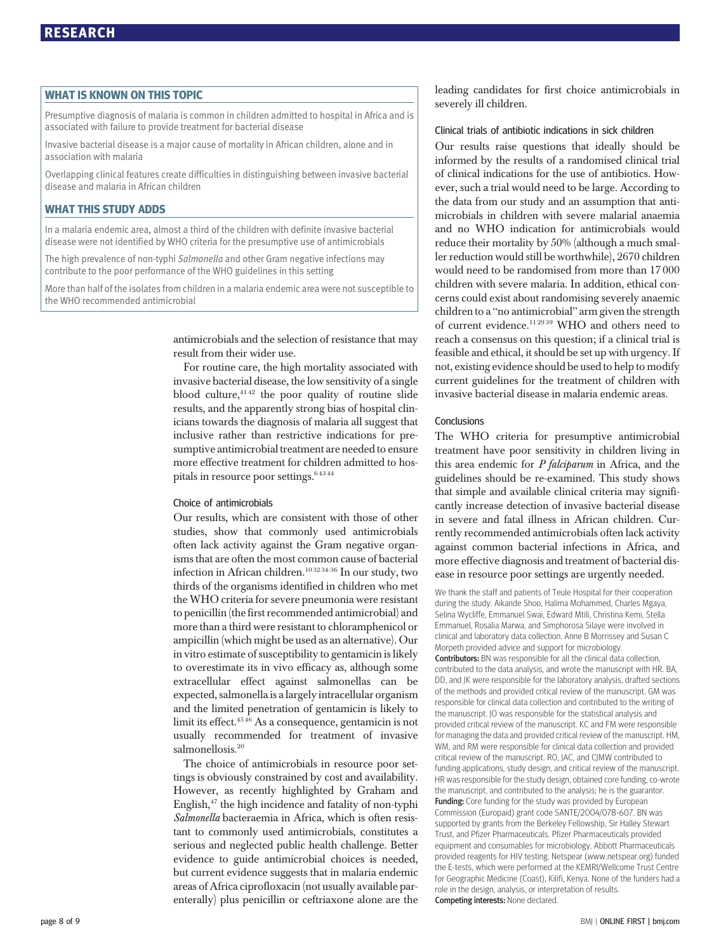en<br>Presumptive diagnosis of malaria is common in children admitted to hospital in Africa and is associated with failure to provide treatment for bacterial disease

Invasive bacterial disease is a major cause of mortality in African children, alone and in association with malaria

Overlapping clinical features create difficulties in distinguishing between invasive bacterial disease and malaria in African children

------- ----- ----- ---- -<br>In a malaria endemic area, almost a third of the children with definite invasive bacterial disease were not identified by WHO criteria for the presumptive use of antimicrobials

The high prevalence of non-typhi Salmonella and other Gram negative infections may contribute to the poor performance of the WHO guidelines in this setting

More than half of the isolates from children in a malaria endemic area were not susceptible to the WHO recommended antimicrobial

> antimicrobials and the selection of resistance that may result from their wider use.

> For routine care, the high mortality associated with invasive bacterial disease, the low sensitivity of a single blood culture, $4142$  the poor quality of routine slide results, and the apparently strong bias of hospital clinicians towards the diagnosis of malaria all suggest that inclusive rather than restrictive indications for presumptive antimicrobial treatment are needed to ensure more effective treatment for children admitted to hospitals in resource poor settings.<sup>64344</sup>

#### Choice of antimicrobials

Our results, which are consistent with those of other studies, show that commonly used antimicrobials often lack activity against the Gram negative organisms that are often the most common cause of bacterial infection in African children.<sup>10 32 34-36</sup> In our study, two thirds of the organisms identified in children who met the WHO criteria for severe pneumonia were resistant to penicillin (the first recommended antimicrobial) and more than a third were resistant to chloramphenicol or ampicillin (which might be used as an alternative). Our in vitro estimate of susceptibility to gentamicin is likely to overestimate its in vivo efficacy as, although some extracellular effect against salmonellas can be expected, salmonella is a largely intracellular organism and the limited penetration of gentamicin is likely to limit its effect.<sup>4546</sup> As a consequence, gentamicin is not usually recommended for treatment of invasive salmonellosis.<sup>20</sup>

The choice of antimicrobials in resource poor settings is obviously constrained by cost and availability. However, as recently highlighted by Graham and English,47 the high incidence and fatality of non-typhi Salmonella bacteraemia in Africa, which is often resistant to commonly used antimicrobials, constitutes a serious and neglected public health challenge. Better evidence to guide antimicrobial choices is needed, but current evidence suggests that in malaria endemic areas of Africa ciprofloxacin (not usually available parenterally) plus penicillin or ceftriaxone alone are the leading candidates for first choice antimicrobials in severely ill children.

#### Clinical trials of antibiotic indications in sick children

Our results raise questions that ideally should be informed by the results of a randomised clinical trial of clinical indications for the use of antibiotics. However, such a trial would need to be large. According to the data from our study and an assumption that antimicrobials in children with severe malarial anaemia and no WHO indication for antimicrobials would reduce their mortality by 50% (although a much smaller reduction would still be worthwhile), 2670 children would need to be randomised from more than 17 000 children with severe malaria. In addition, ethical concerns could exist about randomising severely anaemic children to a "no antimicrobial" arm given the strength of current evidence.<sup>112939</sup> WHO and others need to reach a consensus on this question; if a clinical trial is feasible and ethical, it should be set up with urgency. If not, existing evidence should be used to help to modify current guidelines for the treatment of children with invasive bacterial disease in malaria endemic areas.

#### Conclusions

The WHO criteria for presumptive antimicrobial treatment have poor sensitivity in children living in this area endemic for  $P$  falciparum in Africa, and the guidelines should be re-examined. This study shows that simple and available clinical criteria may significantly increase detection of invasive bacterial disease in severe and fatal illness in African children. Currently recommended antimicrobials often lack activity against common bacterial infections in Africa, and more effective diagnosis and treatment of bacterial disease in resource poor settings are urgently needed.

We thank the staff and patients of Teule Hospital for their cooperation during the study. Aikande Shoo, Halima Mohammed, Charles Mgaya, Selina Wycliffe, Emmanuel Swai, Edward Mtili, Christina Kemi, Stella Emmanuel, Rosalia Marwa, and Simphorosa Silaye were involved in clinical and laboratory data collection. Anne B Morrissey and Susan C Morpeth provided advice and support for microbiology. Contributors: BN was responsible for all the clinical data collection, contributed to the data analysis, and wrote the manuscript with HR. BA, DD, and JK were responsible for the laboratory analysis, drafted sections of the methods and provided critical review of the manuscript. GM was responsible for clinical data collection and contributed to the writing of the manuscript. JO was responsible for the statistical analysis and provided critical review of the manuscript. KC and FM were responsible for managing the data and provided critical review of the manuscript. HM, WM, and RM were responsible for clinical data collection and provided critical review of the manuscript. RO, JAC, and CJMW contributed to funding applications, study design, and critical review of the manuscript. HR was responsible for the study design, obtained core funding, co-wrote the manuscript, and contributed to the analysis; he is the guarantor. Funding: Core funding for the study was provided by European Commission (Europaid) grant code SANTE/2004/078-607. BN was supported by grants from the Berkeley Fellowship, Sir Halley Stewart Trust, and Pfizer Pharmaceuticals. Pfizer Pharmaceuticals provided equipment and consumables for microbiology. Abbott Pharmaceuticals provided reagents for HIV testing. Netspear (www.netspear.org) funded the E-tests, which were performed at the KEMRI/Wellcome Trust Centre for Geographic Medicine (Coast), Kilifi, Kenya. None of the funders had a role in the design, analysis, or interpretation of results. Competing interests: None declared.